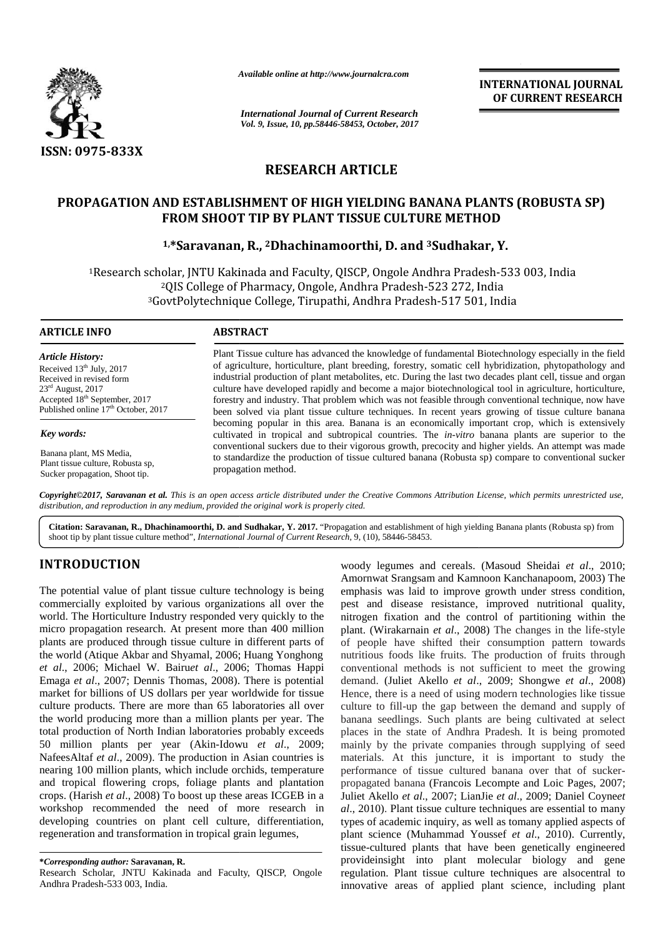

*Available online at http://www.journalcra.com*

*International Journal of Current Research Vol. 9, Issue, 10, pp.58446-58453, October, 2017* **INTERNATIONAL JOURNAL OF CURRENT RESEARCH**

# **RESEARCH ARTICLE**

# PROPAGATION AND ESTABLISHMENT OF HIGH YIELDING BANANA PLANTS (ROBUSTA SP)<br>FROM SHOOT TIP BY PLANT TISSUE CULTURE METHOD<br><sup>1,\*</sup>Saravanan, R., <sup>2</sup>Dhachinamoorthi, D. and <sup>3</sup>Sudhakar, Y. **FROM SHOOT TIP BY PLANT TISSUE CULTURE METHOD**

# **1,\*Saravanan, R., <sup>2</sup>Dhachinamoorthi, D. and <sup>3</sup>Sudhakar, Y.**

<sup>1</sup>Research scholar, JNTU Kakinada and Faculty, QISCP, Ongole Andhra Pradesh-533 003, India <sup>2</sup>QIS College of Pharmacy, Ongole, Andhra Pradesh-523 272, India <sup>2</sup>QIS College of Pharmacy, Ongole, Andhra Pradesh-523 272, India<br>3GovtPolytechnique College, Tirupathi, Andhra Pradesh-517 501, India

# **ARTICLE INFO** *Article History:*

Received 13<sup>th</sup> July, 2017 Received in revised form  $23<sup>rd</sup>$  August, 2017 Accepted 18<sup>th</sup> September, 2017 Published online  $17<sup>th</sup>$  October, 2017

*Key words:*

Banana plant, MS Media, Plant tissue culture, Robusta sp, Sucker propagation, Shoot tip.

Plant Tissue culture has advanced the knowledge of fundamental Biotechnology especially in the field of agriculture, horticulture, plant breeding, forestry, somatic cell hybridization, phytopathology and Plant Tissue culture has advanced the knowledge of fundamental Biotechnology especially in the field<br>of agriculture, horticulture, plant breeding, forestry, somatic cell hybridization, phytopathology and<br>industrial product culture have developed rapidly and become a major biotechnological tool in agriculture, horticulture,<br>forestry and industry. That problem which was not feasible through conventional technique, now have forestry and industry. That problem which was not feasible through conventional technique, now have been solved via plant tissue culture techniques. In recent years growing of tissue culture banana becoming popular in this area. Banana is an economically important crop, which is extensively cultivated in tropical and subtropical countries. The *in-vitro* banana plants are superior to the conventional suckers due to their vigorous growth, precocity and higher yields. An attempt was made to standardize the production of tissue cultured banana (Robusta sp) compare to conventional sucker propagation method. been solved via plant tissue culture techniques. In recent years growing of tissue culture banana<br>becoming popular in this area. Banana is an economically important crop, which is extensively<br>cultivated in tropical and sub **Article History:**<br> **Plant Tissue culture has advanced the knowledge of fundamental Biotechnology especially in the field<br>
Received 13<sup>th</sup> July, 2017 of agriculture, horticulture, plant breeding, forestry, somatic cell hy** 

**Copyright©2017, Saravanan et al.** This is an open access article distributed under the Creative Commons Attribution License, which permits unrestricted use,<br>distribution, and reproduction in any medium, provided the origi *distribution, and reproduction in any medium, provided the original work is properly cited.*

**Citation: Saravanan, R., Dhachinamoorthi, D. and Sudhakar, Y. 2017.** "Propagation and establishment of high yielding Banana plants (Robusta sp) from shoot tip by plant tissue culture method", *International Journal of Current Research*, 9, (10), 58446-58453.

# **INTRODUCTION INTRODUCTION**

The potential value of plant tissue culture technology is being emph commercially exploited by various organizations all over the world. The Horticulture Industry responded very quickly to the commercially exploited by various organizations all over the pest<br>world. The Horticulture Industry responded very quickly to the nitrog<br>micro propagation research. At present more than 400 million plant. plants are produced through tissue culture in different parts of plants are produced through tissue culture in different parts of of p<br>the world (Atique Akbar and Shyamal, 2006; Huang Yonghong nutrit *et al*., 2006; Michael W. Bairu*et al*., 2006; Thomas Happi *et*  Emaga *et al.*, 2007; Dennis Thomas, 2008). There is potential d market for billions of US dollars per year worldwide for tissue culture products. There are more than 65 laboratories all over the world producing more than a million plants per year. The total production of North Indian laboratories probably exceeds market for billions of US dollars per year worldwide for tissue<br>culture products. There are more than 65 laboratories all over<br>the world production of North Indian laboratories probably exceeds<br>50 million plants per year ( NafeesAltaf *et al*., 2009). The production in Asian countries is nearing 100 million plants, which include orchids, temperature NafeesAltaf *et al.*, 2009). The production in Asian countries is matemearing 100 million plants, which include orchids, temperature performant propriation and tropical flowering crops, foliage plants and plantation propri crops. (Harish *et al*., 2008) To boost up these areas ICGEB in a workshop recommended the need of more research in al., 2 developing countries on plant cell culture, differentiation, regeneration and transformation in tropical grain legumes, crops. (Harish *et al.*, 2008) To boost up these areas ICGEB in a workshop recommended the need of more research in developing countries on plant cell culture, differentiation, regeneration and transformation in tropical g

**\****Corresponding author:* **Saravanan, R. \****Corresponding* **R.**

Research Scholar, JNTU Kakinada and Faculty, QISCP, Ongole Andhra Pradesh-533 003, India.

woody legumes and cereals. (Masoud Sheidai *et al*., 2010; Amornwat Srangsam and Kamnoon Kanchanapoom, 2003) The emphasis was laid to improve growth under stress condition, pest and disease resistance, improved nutritional quality, nitrogen fixation and the control of partitioning within the plant. (Wirakarnain *et al*., 2008) The changes in the life-style of people have shifted their consumption pattern towards nutritious foods like fruits. The production of fruits through conventional methods is not sufficient to meet the growing demand. (Juliet Akello *et al*., 2009; Shongwe *et al*., 2008) Hence, there is a need of using modern technologies like tissue culture to fill-up the gap between the demand and supply of banana seedlings. Such plants are being cultivated at select places in the state of Andhra Pradesh. It is being promoted mainly by the private companies through supplying of seed materials. At this juncture, it is important to study the performance of tissue cultured banana over that of sucker propagated banana (Francois Lecompte and Loic Pages, 2007; Juliet Akello *et al*., 2007; LianJie *et al*., 2009; Daniel Coyne*et al*., 2010). Plant tissue culture techniques are essential to many types of academic inquiry, as well as tomany applied aspects of plant science (Muhammad Youssef *et al*., 2010). Currently, tissue-cultured plants that have been genetically engineered provideinsight into plant molecular biology and gene regulation. Plant tissue culture techniques are alsocentral to innovative areas of applied plant science, including plant **EXERCISE CONSIDER IN CONSIDERATION AND CONSIDER INTERNATIONAL CONSIDERATION AND INTERNATIONAL CONSIDER A CONSIDER THE CONSIDER THE CONSIDER THE CONSIDER THE CONSIDERATION CONSIDER THE CONSIDERATION CONSIDER THE CONSIDERA E. Dhanchinano continuo and Sudalistan**. **Y. 2017**. "Propagation and stabilishment of high yielding Banana plants (Robusta sp) from Dukultum method". *International of Current Research*, 3, (10). S8446-58453.<br> **Woody** le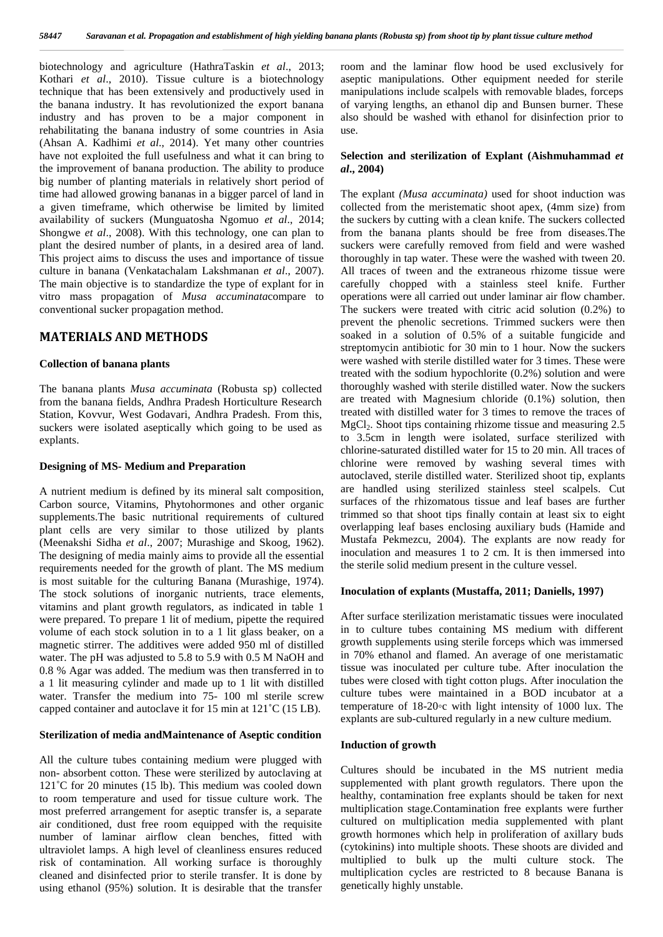biotechnology and agriculture (HathraTaskin *et al*., 2013; Kothari *et al*., 2010). Tissue culture is a biotechnology technique that has been extensively and productively used in the banana industry. It has revolutionized the export banana industry and has proven to be a major component in rehabilitating the banana industry of some countries in Asia (Ahsan A. Kadhimi *et al*., 2014). Yet many other countries have not exploited the full usefulness and what it can bring to the improvement of banana production. The ability to produce big number of planting materials in relatively short period of time had allowed growing bananas in a bigger parcel of land in a given timeframe, which otherwise be limited by limited availability of suckers (Munguatosha Ngomuo *et al*., 2014; Shongwe *et al*., 2008). With this technology, one can plan to plant the desired number of plants, in a desired area of land. This project aims to discuss the uses and importance of tissue culture in banana (Venkatachalam Lakshmanan *et al*., 2007). The main objective is to standardize the type of explant for in vitro mass propagation of *Musa accuminata*compare to conventional sucker propagation method.

### **MATERIALS AND METHODS**

#### **Collection of banana plants**

The banana plants *Musa accuminata* (Robusta sp) collected from the banana fields, Andhra Pradesh Horticulture Research Station, Kovvur, West Godavari, Andhra Pradesh. From this, suckers were isolated aseptically which going to be used as explants.

#### **Designing of MS- Medium and Preparation**

A nutrient medium is defined by its mineral salt composition, Carbon source, Vitamins, Phytohormones and other organic supplements.The basic nutritional requirements of cultured plant cells are very similar to those utilized by plants (Meenakshi Sidha *et al*., 2007; Murashige and Skoog, 1962). The designing of media mainly aims to provide all the essential requirements needed for the growth of plant. The MS medium is most suitable for the culturing Banana (Murashige, 1974). The stock solutions of inorganic nutrients, trace elements, vitamins and plant growth regulators, as indicated in table 1 were prepared. To prepare 1 lit of medium, pipette the required volume of each stock solution in to a 1 lit glass beaker, on a magnetic stirrer. The additives were added 950 ml of distilled water. The pH was adjusted to 5.8 to 5.9 with 0.5 M NaOH and 0.8 % Agar was added. The medium was then transferred in to a 1 lit measuring cylinder and made up to 1 lit with distilled water. Transfer the medium into 75- 100 ml sterile screw capped container and autoclave it for 15 min at 121˚C (15 LB).

#### **Sterilization of media andMaintenance of Aseptic condition**

All the culture tubes containing medium were plugged with non- absorbent cotton. These were sterilized by autoclaving at 121<sup>°</sup>C for 20 minutes (15 lb). This medium was cooled down to room temperature and used for tissue culture work. The most preferred arrangement for aseptic transfer is, a separate air conditioned, dust free room equipped with the requisite number of laminar airflow clean benches, fitted with ultraviolet lamps. A high level of cleanliness ensures reduced risk of contamination. All working surface is thoroughly cleaned and disinfected prior to sterile transfer. It is done by using ethanol (95%) solution. It is desirable that the transfer

room and the laminar flow hood be used exclusively for aseptic manipulations. Other equipment needed for sterile manipulations include scalpels with removable blades, forceps of varying lengths, an ethanol dip and Bunsen burner. These also should be washed with ethanol for disinfection prior to use.

#### **Selection and sterilization of Explant (Aishmuhammad** *et al***., 2004)**

The explant *(Musa accuminata)* used for shoot induction was collected from the meristematic shoot apex, (4mm size) from the suckers by cutting with a clean knife. The suckers collected from the banana plants should be free from diseases.The suckers were carefully removed from field and were washed thoroughly in tap water. These were the washed with tween 20. All traces of tween and the extraneous rhizome tissue were carefully chopped with a stainless steel knife. Further operations were all carried out under laminar air flow chamber. The suckers were treated with citric acid solution (0.2%) to prevent the phenolic secretions. Trimmed suckers were then soaked in a solution of 0.5% of a suitable fungicide and streptomycin antibiotic for 30 min to 1 hour. Now the suckers were washed with sterile distilled water for 3 times. These were treated with the sodium hypochlorite (0.2%) solution and were thoroughly washed with sterile distilled water. Now the suckers are treated with Magnesium chloride (0.1%) solution, then treated with distilled water for 3 times to remove the traces of  $MgCl<sub>2</sub>$ . Shoot tips containing rhizome tissue and measuring 2.5 to 3.5cm in length were isolated, surface sterilized with chlorine-saturated distilled water for 15 to 20 min. All traces of chlorine were removed by washing several times with autoclaved, sterile distilled water. Sterilized shoot tip, explants are handled using sterilized stainless steel scalpels. Cut surfaces of the rhizomatous tissue and leaf bases are further trimmed so that shoot tips finally contain at least six to eight overlapping leaf bases enclosing auxiliary buds (Hamide and Mustafa Pekmezcu, 2004). The explants are now ready for inoculation and measures 1 to 2 cm. It is then immersed into the sterile solid medium present in the culture vessel.

#### **Inoculation of explants (Mustaffa, 2011; Daniells, 1997)**

After surface sterilization meristamatic tissues were inoculated in to culture tubes containing MS medium with different growth supplements using sterile forceps which was immersed in 70% ethanol and flamed. An average of one meristamatic tissue was inoculated per culture tube. After inoculation the tubes were closed with tight cotton plugs. After inoculation the culture tubes were maintained in a BOD incubator at a temperature of 18-20 c with light intensity of 1000 lux. The explants are sub-cultured regularly in a new culture medium.

#### **Induction of growth**

Cultures should be incubated in the MS nutrient media supplemented with plant growth regulators. There upon the healthy, contamination free explants should be taken for next multiplication stage.Contamination free explants were further cultured on multiplication media supplemented with plant growth hormones which help in proliferation of axillary buds (cytokinins) into multiple shoots. These shoots are divided and multiplied to bulk up the multi culture stock. The multiplication cycles are restricted to 8 because Banana is genetically highly unstable.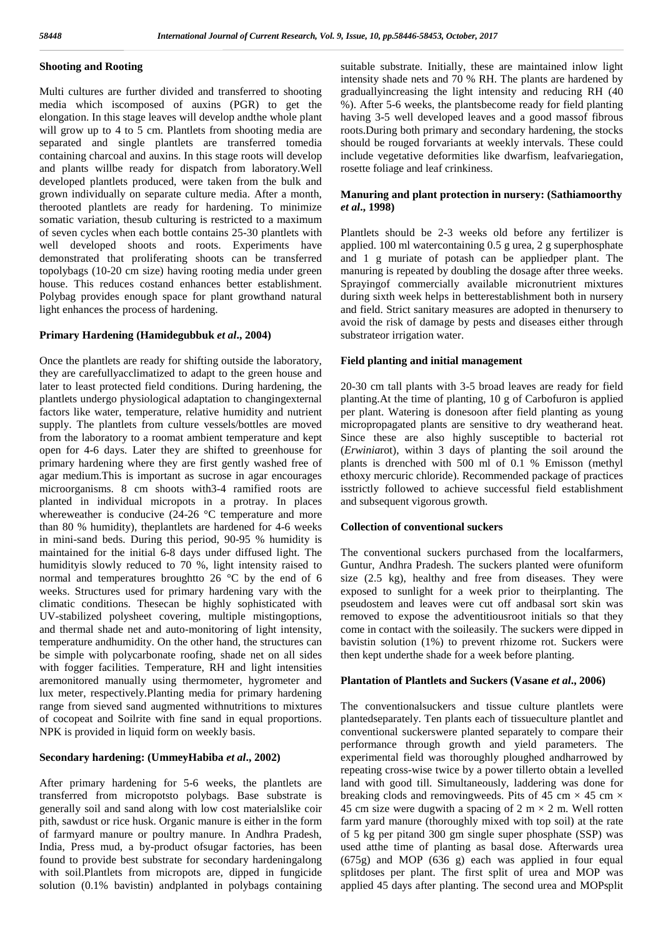#### **Shooting and Rooting**

Multi cultures are further divided and transferred to shooting media which iscomposed of auxins (PGR) to get the elongation. In this stage leaves will develop andthe whole plant will grow up to 4 to 5 cm. Plantlets from shooting media are separated and single plantlets are transferred tomedia containing charcoal and auxins. In this stage roots will develop and plants willbe ready for dispatch from laboratory.Well developed plantlets produced, were taken from the bulk and grown individually on separate culture media. After a month, therooted plantlets are ready for hardening. To minimize somatic variation, thesub culturing is restricted to a maximum of seven cycles when each bottle contains 25-30 plantlets with well developed shoots and roots. Experiments have demonstrated that proliferating shoots can be transferred topolybags (10-20 cm size) having rooting media under green house. This reduces costand enhances better establishment. Polybag provides enough space for plant growthand natural light enhances the process of hardening.

#### **Primary Hardening (Hamidegubbuk** *et al***., 2004)**

Once the plantlets are ready for shifting outside the laboratory, they are carefullyacclimatized to adapt to the green house and later to least protected field conditions. During hardening, the plantlets undergo physiological adaptation to changingexternal factors like water, temperature, relative humidity and nutrient supply. The plantlets from culture vessels/bottles are moved from the laboratory to a roomat ambient temperature and kept open for 4-6 days. Later they are shifted to greenhouse for primary hardening where they are first gently washed free of agar medium.This is important as sucrose in agar encourages microorganisms. 8 cm shoots with3-4 ramified roots are planted in individual micropots in a protray. In places whereweather is conducive (24-26 °C temperature and more than 80 % humidity), theplantlets are hardened for 4-6 weeks in mini-sand beds. During this period, 90-95 % humidity is maintained for the initial 6-8 days under diffused light. The humidityis slowly reduced to 70 %, light intensity raised to normal and temperatures broughtto 26 °C by the end of 6 weeks. Structures used for primary hardening vary with the climatic conditions. Thesecan be highly sophisticated with UV-stabilized polysheet covering, multiple mistingoptions, and thermal shade net and auto-monitoring of light intensity, temperature andhumidity. On the other hand, the structures can be simple with polycarbonate roofing, shade net on all sides with fogger facilities. Temperature, RH and light intensities aremonitored manually using thermometer, hygrometer and lux meter, respectively.Planting media for primary hardening range from sieved sand augmented withnutritions to mixtures of cocopeat and Soilrite with fine sand in equal proportions. NPK is provided in liquid form on weekly basis.

#### **Secondary hardening: (UmmeyHabiba** *et al***., 2002)**

After primary hardening for 5-6 weeks, the plantlets are transferred from micropotsto polybags. Base substrate is generally soil and sand along with low cost materialslike coir pith, sawdust or rice husk. Organic manure is either in the form of farmyard manure or poultry manure. In Andhra Pradesh, India, Press mud, a by-product ofsugar factories, has been found to provide best substrate for secondary hardeningalong with soil.Plantlets from micropots are, dipped in fungicide solution (0.1% bavistin) andplanted in polybags containing

suitable substrate. Initially, these are maintained inlow light intensity shade nets and 70 % RH. The plants are hardened by graduallyincreasing the light intensity and reducing RH (40 %). After 5-6 weeks, the plantsbecome ready for field planting having 3-5 well developed leaves and a good massof fibrous roots.During both primary and secondary hardening, the stocks should be rouged forvariants at weekly intervals. These could include vegetative deformities like dwarfism, leafvariegation, rosette foliage and leaf crinkiness.

#### **Manuring and plant protection in nursery: (Sathiamoorthy** *et al***., 1998)**

Plantlets should be 2-3 weeks old before any fertilizer is applied. 100 ml watercontaining 0.5 g urea, 2 g superphosphate and 1 g muriate of potash can be appliedper plant. The manuring is repeated by doubling the dosage after three weeks. Sprayingof commercially available micronutrient mixtures during sixth week helps in betterestablishment both in nursery and field. Strict sanitary measures are adopted in thenursery to avoid the risk of damage by pests and diseases either through substrateor irrigation water.

#### **Field planting and initial management**

20-30 cm tall plants with 3-5 broad leaves are ready for field planting.At the time of planting, 10 g of Carbofuron is applied per plant. Watering is donesoon after field planting as young micropropagated plants are sensitive to dry weatherand heat. Since these are also highly susceptible to bacterial rot (*Erwinia*rot), within 3 days of planting the soil around the plants is drenched with 500 ml of 0.1 % Emisson (methyl ethoxy mercuric chloride). Recommended package of practices isstrictly followed to achieve successful field establishment and subsequent vigorous growth.

#### **Collection of conventional suckers**

The conventional suckers purchased from the localfarmers, Guntur, Andhra Pradesh. The suckers planted were ofuniform size (2.5 kg), healthy and free from diseases. They were exposed to sunlight for a week prior to theirplanting. The pseudostem and leaves were cut off andbasal sort skin was removed to expose the adventitiousroot initials so that they come in contact with the soileasily. The suckers were dipped in bavistin solution (1%) to prevent rhizome rot. Suckers were then kept underthe shade for a week before planting.

#### **Plantation of Plantlets and Suckers (Vasane** *et al***., 2006)**

The conventionalsuckers and tissue culture plantlets were plantedseparately. Ten plants each of tissueculture plantlet and conventional suckerswere planted separately to compare their performance through growth and yield parameters. The experimental field was thoroughly ploughed andharrowed by repeating cross-wise twice by a power tillerto obtain a levelled land with good till. Simultaneously, laddering was done for breaking clods and removingweeds. Pits of 45 cm  $\times$  45 cm  $\times$ 45 cm size were dugwith a spacing of 2 m  $\times$  2 m. Well rotten farm yard manure (thoroughly mixed with top soil) at the rate of 5 kg per pitand 300 gm single super phosphate (SSP) was used atthe time of planting as basal dose. Afterwards urea (675g) and MOP (636 g) each was applied in four equal splitdoses per plant. The first split of urea and MOP was applied 45 days after planting. The second urea and MOPsplit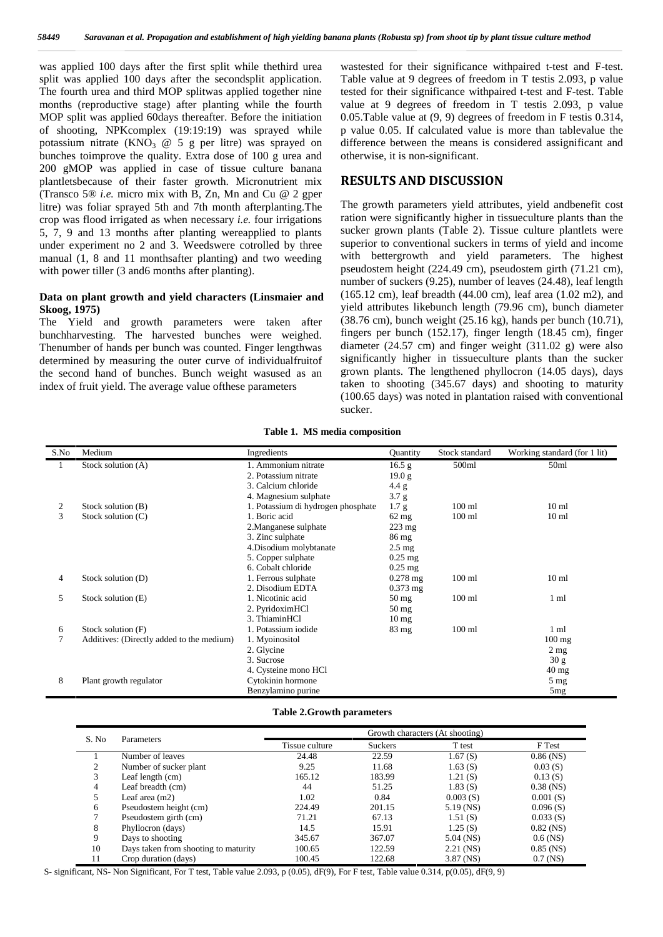was applied 100 days after the first split while thethird urea split was applied 100 days after the secondsplit application. The fourth urea and third MOP splitwas applied together nine months (reproductive stage) after planting while the fourth MOP split was applied 60days thereafter. Before the initiation of shooting, NPKcomplex (19:19:19) was sprayed while potassium nitrate  $(KNO<sub>3</sub> @ 5 g per litre)$  was sprayed on bunches toimprove the quality. Extra dose of 100 g urea and 200 gMOP was applied in case of tissue culture banana plantletsbecause of their faster growth. Micronutrient mix (Transco 5® *i.e.* micro mix with B, Zn, Mn and Cu @ 2 gper litre) was foliar sprayed 5th and 7th month afterplanting.The crop was flood irrigated as when necessary *i.e.* four irrigations 5, 7, 9 and 13 months after planting wereapplied to plants under experiment no 2 and 3. Weedswere cotrolled by three manual (1, 8 and 11 monthsafter planting) and two weeding with power tiller (3 and 6 months after planting).

#### **Data on plant growth and yield characters (Linsmaier and Skoog, 1975)**

The Yield and growth parameters were taken after bunchharvesting. The harvested bunches were weighed. Thenumber of hands per bunch was counted. Finger lengthwas determined by measuring the outer curve of individualfruitof the second hand of bunches. Bunch weight wasused as an index of fruit yield. The average value ofthese parameters

wastested for their significance withpaired t-test and F-test. Table value at 9 degrees of freedom in T testis 2.093, p value tested for their significance withpaired t-test and F-test. Table value at 9 degrees of freedom in T testis 2.093, p value 0.05.Table value at (9, 9) degrees of freedom in F testis 0.314, p value 0.05. If calculated value is more than tablevalue the difference between the means is considered assignificant and otherwise, it is non-significant.

#### **RESULTS AND DISCUSSION**

The growth parameters yield attributes, yield andbenefit cost ration were significantly higher in tissueculture plants than the sucker grown plants (Table 2). Tissue culture plantlets were superior to conventional suckers in terms of yield and income with bettergrowth and yield parameters. The highest pseudostem height (224.49 cm), pseudostem girth (71.21 cm), number of suckers (9.25), number of leaves (24.48), leaf length (165.12 cm), leaf breadth (44.00 cm), leaf area (1.02 m2), and yield attributes likebunch length (79.96 cm), bunch diameter (38.76 cm), bunch weight (25.16 kg), hands per bunch (10.71), fingers per bunch (152.17), finger length (18.45 cm), finger diameter (24.57 cm) and finger weight (311.02 g) were also significantly higher in tissueculture plants than the sucker grown plants. The lengthened phyllocron (14.05 days), days taken to shooting (345.67 days) and shooting to maturity (100.65 days) was noted in plantation raised with conventional sucker.

| S.No | Medium                                    | Ingredients                        | Quantity          | Stock standard   | Working standard (for 1 lit) |
|------|-------------------------------------------|------------------------------------|-------------------|------------------|------------------------------|
| 1    | Stock solution (A)                        | 1. Ammonium nitrate                | 16.5 <sub>g</sub> | 500ml            | 50 <sub>ml</sub>             |
|      |                                           | 2. Potassium nitrate               | 19.0 <sub>g</sub> |                  |                              |
|      |                                           | 3. Calcium chloride                | 4.4 g             |                  |                              |
|      |                                           | 4. Magnesium sulphate              | 3.7 g             |                  |                              |
| 2    | Stock solution (B)                        | 1. Potassium di hydrogen phosphate | 1.7 g             | $100$ ml         | 10 <sub>ml</sub>             |
| 3    | Stock solution (C)                        | 1. Boric acid                      | $62$ mg           | $100$ ml         | 10 <sub>ml</sub>             |
|      |                                           | 2. Manganese sulphate              | $223 \text{ mg}$  |                  |                              |
|      |                                           | 3. Zinc sulphate                   | $86 \text{ mg}$   |                  |                              |
|      |                                           | 4. Disodium molybtanate            | $2.5 \text{ mg}$  |                  |                              |
|      |                                           | 5. Copper sulphate                 | $0.25$ mg         |                  |                              |
|      |                                           | 6. Cobalt chloride                 | $0.25$ mg         |                  |                              |
| 4    | Stock solution (D)                        | 1. Ferrous sulphate                | $0.278$ mg        | $100$ ml         | 10 <sub>ml</sub>             |
|      |                                           | 2. Disodium EDTA                   | $0.373$ mg        |                  |                              |
| 5    | Stock solution (E)                        | 1. Nicotinic acid                  | $50 \text{ mg}$   | $100$ ml         | $1 \text{ ml}$               |
|      |                                           | 2. PyridoximHCl                    | $50 \text{ mg}$   |                  |                              |
|      |                                           | 3. ThiaminHCl                      | 10 <sub>mg</sub>  |                  |                              |
| 6    | Stock solution (F)                        | 1. Potassium iodide                | $83 \text{ mg}$   | $100 \text{ ml}$ | 1 ml                         |
|      | Additives: (Directly added to the medium) | 1. Myoinositol                     |                   |                  | $100$ mg                     |
|      |                                           | 2. Glycine                         |                   |                  | $2 \text{ mg}$               |
|      |                                           | 3. Sucrose                         |                   |                  | 30 g                         |
|      |                                           | 4. Cysteine mono HCl               |                   |                  | $40 \text{ mg}$              |
| 8    | Plant growth regulator                    | Cytokinin hormone                  |                   |                  | $5 \text{ mg}$               |
|      |                                           | Benzylamino purine                 |                   |                  | 5mg                          |

**Table 1. MS media composition**

#### **Table 2.Growth parameters**

| S. No              | Parameters                           | Growth characters (At shooting) |                |             |             |
|--------------------|--------------------------------------|---------------------------------|----------------|-------------|-------------|
|                    |                                      | Tissue culture                  | <b>Suckers</b> | T test      | F Test      |
|                    | Number of leaves                     | 24.48                           | 22.59          | 1.67(S)     | $0.86$ (NS) |
| $\mathcal{L}$<br>∠ | Number of sucker plant               | 9.25                            | 11.68          | 1.63(S)     | 0.03(S)     |
| 3                  | Leaf length $(cm)$                   | 165.12                          | 183.99         | 1.21(S)     | 0.13(S)     |
| 4                  | Leaf breadth (cm)                    | 44                              | 51.25          | 1.83(S)     | $0.38$ (NS) |
| 5.                 | Leaf area $(m2)$                     | 1.02                            | 0.84           | 0.003(S)    | 0.001(S)    |
| 6                  | Pseudostem height (cm)               | 224.49                          | 201.15         | $5.19$ (NS) | 0.096(S)    |
|                    | Pseudostem girth (cm)                | 71.21                           | 67.13          | 1.51(S)     | 0.033(S)    |
| 8                  | Phyllocron (days)                    | 14.5                            | 15.91          | 1.25(S)     | $0.82$ (NS) |
| 9                  | Days to shooting                     | 345.67                          | 367.07         | $5.04$ (NS) | $0.6$ (NS)  |
| 10                 | Days taken from shooting to maturity | 100.65                          | 122.59         | $2.21$ (NS) | $0.85$ (NS) |
| 11                 | Crop duration (days)                 | 100.45                          | 122.68         | 3.87 (NS)   | $0.7$ (NS)  |

S- significant, NS- Non Significant, For T test, Table value 2.093, p (0.05), dF(9), For F test, Table value 0.314, p(0.05), dF(9, 9)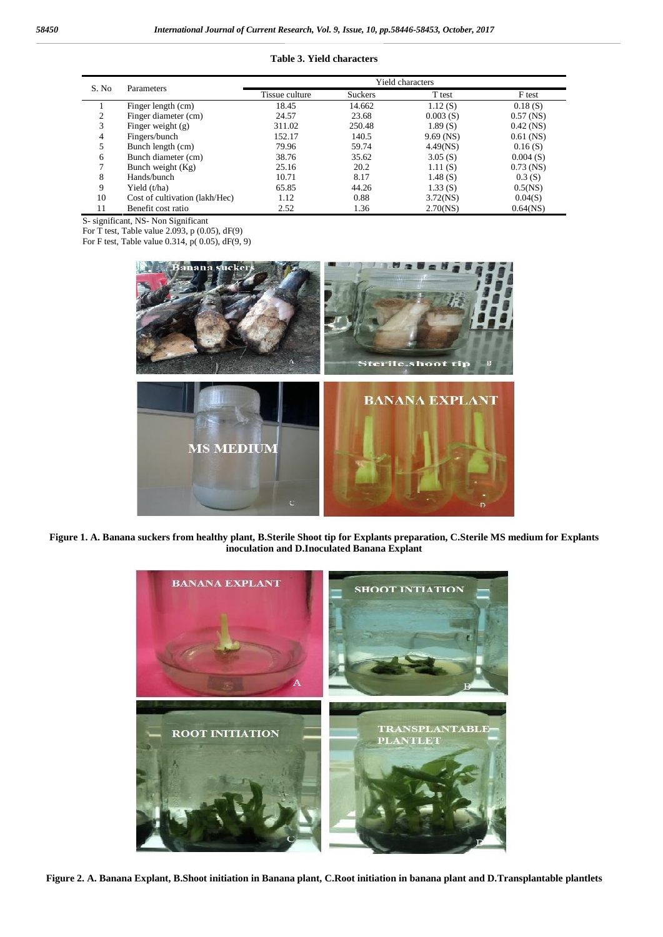#### **Table 3. Yield characters**

|       | Parameters                     | Yield characters |                |             |             |  |
|-------|--------------------------------|------------------|----------------|-------------|-------------|--|
| S. No |                                | Tissue culture   | <b>Suckers</b> | T test      | F test      |  |
|       | Finger length (cm)             | 18.45            | 14.662         | 1.12(S)     | 0.18(S)     |  |
| 2     | Finger diameter (cm)           | 24.57            | 23.68          | 0.003(S)    | $0.57$ (NS) |  |
| 3     | Finger weight $(g)$            | 311.02           | 250.48         | 1.89(S)     | $0.42$ (NS) |  |
| 4     | Fingers/bunch                  | 152.17           | 140.5          | $9.69$ (NS) | $0.61$ (NS) |  |
|       | Bunch length (cm)              | 79.96            | 59.74          | 4.49(NS)    | 0.16(S)     |  |
| 6     | Bunch diameter (cm)            | 38.76            | 35.62          | 3.05(S)     | 0.004(S)    |  |
|       | Bunch weight $(Kg)$            | 25.16            | 20.2           | 1.11(S)     | $0.73$ (NS) |  |
| 8     | Hands/bunch                    | 10.71            | 8.17           | 1.48(S)     | 0.3(S)      |  |
| 9     | Yield (t/ha)                   | 65.85            | 44.26          | 1.33(S)     | 0.5(NS)     |  |
| 10    | Cost of cultivation (lakh/Hec) | 1.12             | 0.88           | $3.72$ (NS) | 0.04(S)     |  |
| 11    | Benefit cost ratio             | 2.52             | 1.36           | 2.70(NS)    | $0.64$ (NS) |  |

S- significant, NS- Non Significant

For T test, Table value 2.093, p  $(0.05)$ , dF $(9)$ 

For F test, Table value  $0.314$ , p(  $0.05$ ), dF( $9$ ,  $9$ )



**Figure 1. A. Banana suckers from healthy plant, B.Sterile Shoot tip for Explants preparation, C.Sterile MS medium for Explants inoculation and D.Inoculated Banana Explant**



**Figure 2. A. Banana Explant, B.Shoot initiation in Banana plant, C.Root initiation in banana plant and D.Transplantable plantlets**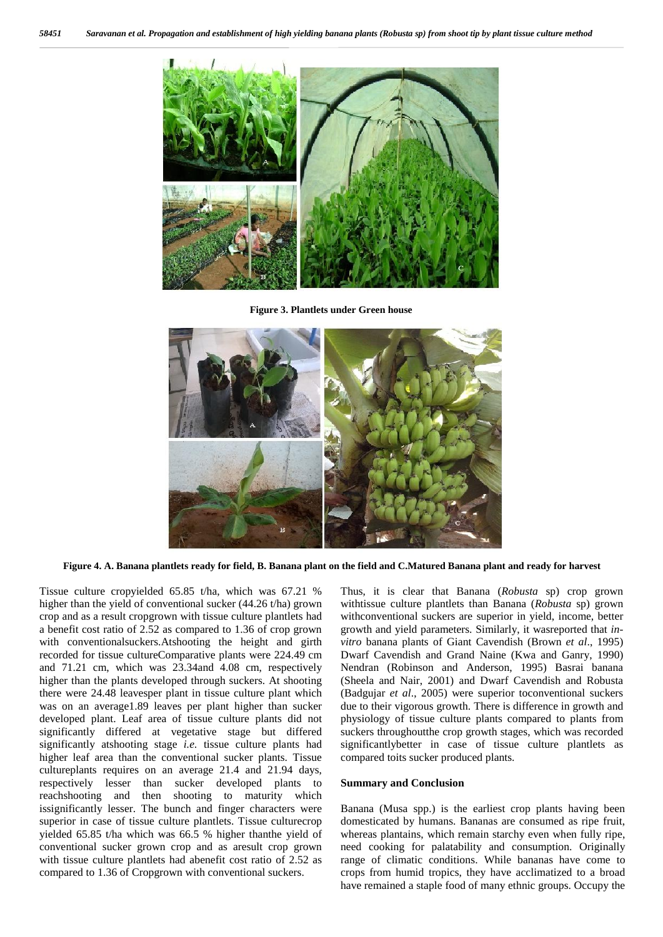

**Figure 3. Plantlets under Green house**



**Figure 4. A. Banana plantlets ready for field, B. Banana plant on the field and C.Matured Banana plant and ready for harvest**

Tissue culture cropyielded 65.85 t/ha, which was 67.21 % higher than the yield of conventional sucker (44.26 t/ha) grown crop and as a result cropgrown with tissue culture plantlets had a benefit cost ratio of 2.52 as compared to 1.36 of crop grown with conventionalsuckers.Atshooting the height and girth recorded for tissue cultureComparative plants were 224.49 cm and 71.21 cm, which was 23.34and 4.08 cm, respectively higher than the plants developed through suckers. At shooting there were 24.48 leavesper plant in tissue culture plant which was on an average1.89 leaves per plant higher than sucker developed plant. Leaf area of tissue culture plants did not significantly differed at vegetative stage but differed significantly atshooting stage *i.e.* tissue culture plants had higher leaf area than the conventional sucker plants. Tissue cultureplants requires on an average 21.4 and 21.94 days, respectively lesser than sucker developed plants to reachshooting and then shooting to maturity which issignificantly lesser. The bunch and finger characters were superior in case of tissue culture plantlets. Tissue culturecrop yielded 65.85 t/ha which was 66.5 % higher thanthe yield of conventional sucker grown crop and as aresult crop grown with tissue culture plantlets had abenefit cost ratio of 2.52 as compared to 1.36 of Cropgrown with conventional suckers.

Thus, it is clear that Banana (*Robusta* sp) crop grown withtissue culture plantlets than Banana (*Robusta* sp) grown withconventional suckers are superior in yield, income, better growth and yield parameters. Similarly, it wasreported that *in vitro* banana plants of Giant Cavendish (Brown *et al*., 1995) Dwarf Cavendish and Grand Naine (Kwa and Ganry, 1990) Nendran (Robinson and Anderson, 1995) Basrai banana (Sheela and Nair, 2001) and Dwarf Cavendish and Robusta (Badgujar *et al*., 2005) were superior toconventional suckers due to their vigorous growth. There is difference in growth and physiology of tissue culture plants compared to plants from suckers throughoutthe crop growth stages, which was recorded significantlybetter in case of tissue culture plantlets as compared toits sucker produced plants.

#### **Summary and Conclusion**

Banana (Musa spp.) is the earliest crop plants having been domesticated by humans. Bananas are consumed as ripe fruit, whereas plantains, which remain starchy even when fully ripe, need cooking for palatability and consumption. Originally range of climatic conditions. While bananas have come to crops from humid tropics, they have acclimatized to a broad have remained a staple food of many ethnic groups. Occupy the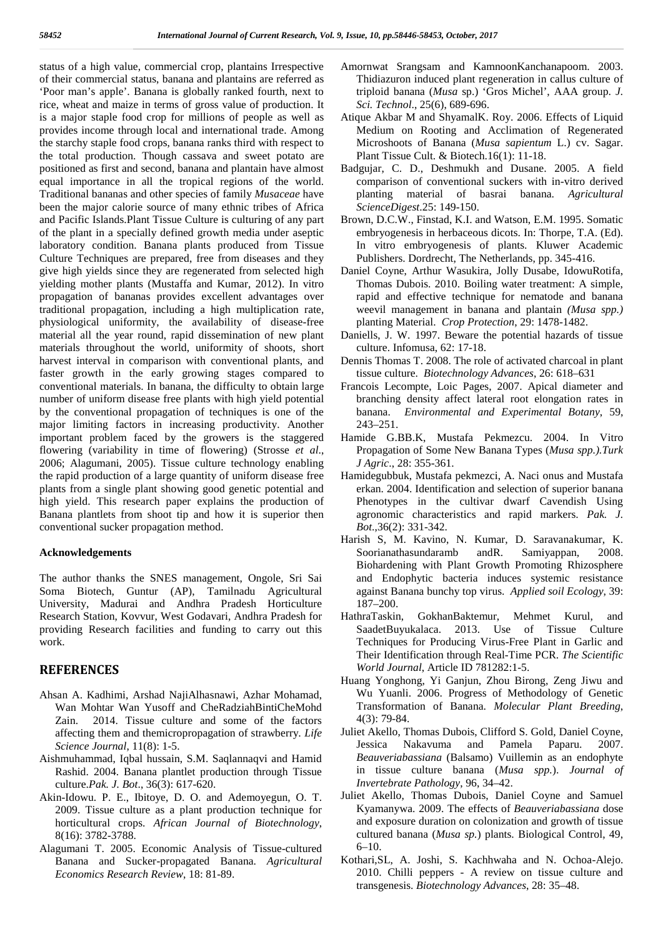status of a high value, commercial crop, plantains Irrespective of their commercial status, banana and plantains are referred as 'Poor man's apple'. Banana is globally ranked fourth, next to rice, wheat and maize in terms of gross value of production. It is a major staple food crop for millions of people as well as provides income through local and international trade. Among the starchy staple food crops, banana ranks third with respect to the total production. Though cassava and sweet potato are positioned as first and second, banana and plantain have almost equal importance in all the tropical regions of the world. Traditional bananas and other species of family *Musaceae* have been the major calorie source of many ethnic tribes of Africa and Pacific Islands.Plant Tissue Culture is culturing of any part of the plant in a specially defined growth media under aseptic laboratory condition. Banana plants produced from Tissue Culture Techniques are prepared, free from diseases and they give high yields since they are regenerated from selected high yielding mother plants (Mustaffa and Kumar, 2012). In vitro propagation of bananas provides excellent advantages over traditional propagation, including a high multiplication rate, physiological uniformity, the availability of disease-free material all the year round, rapid dissemination of new plant materials throughout the world, uniformity of shoots, short harvest interval in comparison with conventional plants, and faster growth in the early growing stages compared to conventional materials. In banana, the difficulty to obtain large number of uniform disease free plants with high yield potential by the conventional propagation of techniques is one of the major limiting factors in increasing productivity. Another important problem faced by the growers is the staggered flowering (variability in time of flowering) (Strosse *et al*., 2006; Alagumani, 2005). Tissue culture technology enabling the rapid production of a large quantity of uniform disease free plants from a single plant showing good genetic potential and high yield. This research paper explains the production of Banana plantlets from shoot tip and how it is superior then conventional sucker propagation method.

#### **Acknowledgements**

The author thanks the SNES management, Ongole, Sri Sai Soma Biotech, Guntur (AP), Tamilnadu Agricultural University, Madurai and Andhra Pradesh Horticulture Research Station, Kovvur, West Godavari, Andhra Pradesh for providing Research facilities and funding to carry out this work.

## **REFERENCES**

- Ahsan A. Kadhimi, Arshad NajiAlhasnawi, Azhar Mohamad, Wan Mohtar Wan Yusoff and CheRadziahBintiCheMohd Zain. 2014. Tissue culture and some of the factors affecting them and themicropropagation of strawberry*. Life Science Journal*, 11(8): 1-5.
- Aishmuhammad, Iqbal hussain, S.M. Saqlannaqvi and Hamid Rashid. 2004. Banana plantlet production through Tissue culture.*Pak. J. Bot*., 36(3): 617-620.
- Akin-Idowu. P. E., Ibitoye, D. O. and Ademoyegun, O. T. 2009. Tissue culture as a plant production technique for horticultural crops. *African Journal of Biotechnology*, 8(16): 3782-3788.
- Alagumani T. 2005. Economic Analysis of Tissue-cultured Banana and Sucker-propagated Banana. *Agricultural Economics Research Review*, 18: 81-89.
- Amornwat Srangsam and KamnoonKanchanapoom. 2003. Thidiazuron induced plant regeneration in callus culture of triploid banana (*Musa* sp.) 'Gros Michel', AAA group. *J. Sci. Technol*., 25(6), 689-696.
- Atique Akbar M and ShyamalK. Roy. 2006. Effects of Liquid Medium on Rooting and Acclimation of Regenerated Microshoots of Banana (*Musa sapientum* L.) cv. Sagar. Plant Tissue Cult. & Biotech.16(1): 11-18.
- Badgujar, C. D., Deshmukh and Dusane. 2005. A field comparison of conventional suckers with in-vitro derived planting material of basrai banana. *Agricultural ScienceDigest*.25: 149-150.
- Brown, D.C.W., Finstad, K.I. and Watson, E.M. 1995. Somatic embryogenesis in herbaceous dicots. In: Thorpe, T.A. (Ed). In vitro embryogenesis of plants. Kluwer Academic Publishers. Dordrecht, The Netherlands, pp. 345-416.
- Daniel Coyne, Arthur Wasukira, Jolly Dusabe, IdowuRotifa, Thomas Dubois. 2010. Boiling water treatment: A simple, rapid and effective technique for nematode and banana weevil management in banana and plantain *(Musa spp.)* planting Material. *Crop Protection*, 29: 1478-1482.
- Daniells, J. W. 1997. Beware the potential hazards of tissue culture. Infomusa, 62: 17-18.
- Dennis Thomas T. 2008. The role of activated charcoal in plant tissue culture. *Biotechnology Advances*, 26: 618–631
- Francois Lecompte, Loic Pages, 2007. Apical diameter and branching density affect lateral root elongation rates in banana. *Environmental and Experimental Botany*, 59, 243–251.
- Hamide G.BB.K, Mustafa Pekmezcu. 2004. In Vitro Propagation of Some New Banana Types (*Musa spp.).Turk J Agric*., 28: 355-361.
- Hamidegubbuk, Mustafa pekmezci, A. Naci onus and Mustafa erkan. 2004. Identification and selection of superior banana Phenotypes in the cultivar dwarf Cavendish Using agronomic characteristics and rapid markers. *Pak. J. Bot*.,36(2): 331-342.
- Harish S, M. Kavino, N. Kumar, D. Saravanakumar, K. Soorianathasundaramb andR. Samiyappan, 2008. Biohardening with Plant Growth Promoting Rhizosphere and Endophytic bacteria induces systemic resistance against Banana bunchy top virus. *Applied soil Ecology*, 39: 187–200.
- HathraTaskin, GokhanBaktemur, Mehmet Kurul, and SaadetBuyukalaca. 2013. Use of Tissue Culture Techniques for Producing Virus-Free Plant in Garlic and Their Identification through Real-Time PCR. *The Scientific World Journal*, Article ID 781282:1-5.
- Huang Yonghong, Yi Ganjun, Zhou Birong, Zeng Jiwu and Wu Yuanli. 2006. Progress of Methodology of Genetic Transformation of Banana. *Molecular Plant Breeding*, 4(3): 79-84.
- Juliet Akello, Thomas Dubois, Clifford S. Gold, Daniel Coyne, Jessica Nakavuma and Pamela Paparu. 2007. *Beauveriabassiana* (Balsamo) Vuillemin as an endophyte in tissue culture banana (*Musa spp.*). *Journal of Invertebrate Pathology*, 96, 34–42.
- Juliet Akello, Thomas Dubois, Daniel Coyne and Samuel Kyamanywa. 2009. The effects of *Beauveriabassiana* dose and exposure duration on colonization and growth of tissue cultured banana (*Musa sp.*) plants. Biological Control, 49, 6–10.
- Kothari,SL, A. Joshi, S. Kachhwaha and N. Ochoa-Alejo. 2010. Chilli peppers - A review on tissue culture and transgenesis. *Biotechnology Advances*, 28: 35–48.